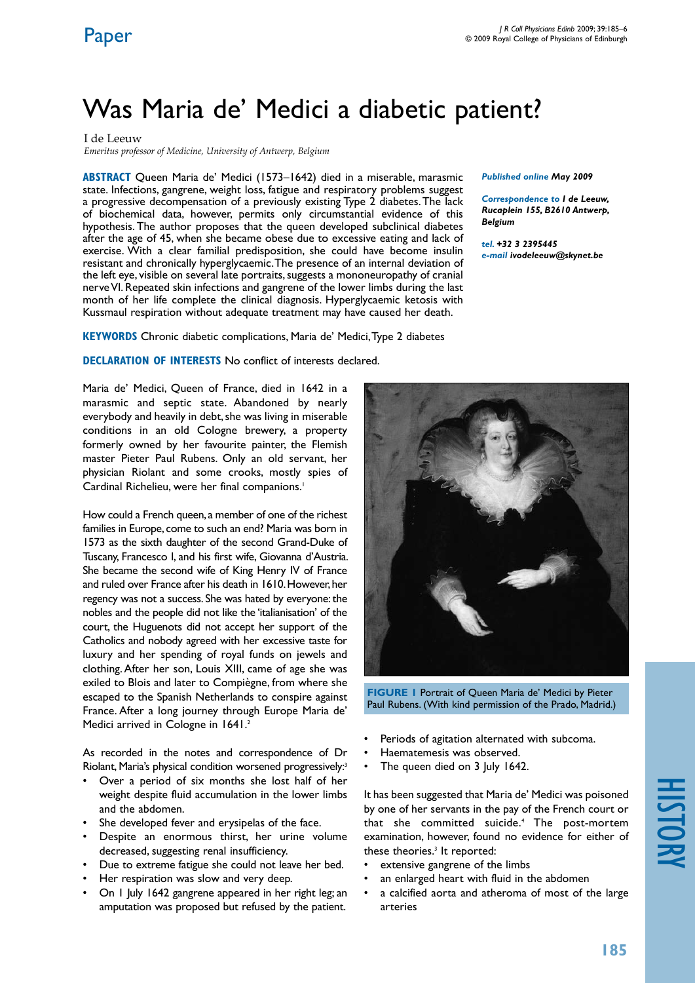# Was Maria de' Medici a diabetic patient?

I de Leeuw

*Emeritus professor of Medicine, University of Antwerp, Belgium*

**ABSTRACT** Queen Maria de' Medici (1573–1642) died in a miserable, marasmic state. Infections, gangrene, weight loss, fatigue and respiratory problems suggest a progressive decompensation of a previously existing Type 2 diabetes. The lack of biochemical data, however, permits only circumstantial evidence of this hypothesis. The author proposes that the queen developed subclinical diabetes after the age of 45, when she became obese due to excessive eating and lack of exercise. With a clear familial predisposition, she could have become insulin resistant and chronically hyperglycaemic. The presence of an internal deviation of the left eye, visible on several late portraits, suggests a mononeuropathy of cranial nerve VI. Repeated skin infections and gangrene of the lower limbs during the last month of her life complete the clinical diagnosis. Hyperglycaemic ketosis with Kussmaul respiration without adequate treatment may have caused her death.

**KEYWORDS** Chronic diabetic complications, Maria de' Medici, Type 2 diabetes

**DECLARATION OF INTERESTS No conflict of interests declared.** 

Maria de' Medici, Queen of France, died in 1642 in a marasmic and septic state. Abandoned by nearly everybody and heavily in debt, she was living in miserable conditions in an old Cologne brewery, a property formerly owned by her favourite painter, the Flemish master Pieter Paul Rubens. Only an old servant, her physician Riolant and some crooks, mostly spies of Cardinal Richelieu, were her final companions.<sup>1</sup>

How could a French queen, a member of one of the richest families in Europe, come to such an end? Maria was born in 1573 as the sixth daughter of the second Grand-Duke of Tuscany, Francesco I, and his first wife, Giovanna d'Austria. She became the second wife of King Henry IV of France and ruled over France after his death in 1610. However, her regency was not a success. She was hated by everyone: the nobles and the people did not like the 'italianisation' of the court, the Huguenots did not accept her support of the Catholics and nobody agreed with her excessive taste for luxury and her spending of royal funds on jewels and clothing. After her son, Louis XIII, came of age she was exiled to Blois and later to Compiègne, from where she escaped to the Spanish Netherlands to conspire against France. After a long journey through Europe Maria de' Medici arrived in Cologne in 1641.<sup>2</sup>

As recorded in the notes and correspondence of Dr Riolant, Maria's physical condition worsened progressively:3

- Over a period of six months she lost half of her weight despite fluid accumulation in the lower limbs and the abdomen.
- She developed fever and erysipelas of the face.
- • Despite an enormous thirst, her urine volume decreased, suggesting renal insufficiency.
- • Due to extreme fatigue she could not leave her bed.
- Her respiration was slow and very deep.
- On 1 July 1642 gangrene appeared in her right leg; an amputation was proposed but refused by the patient.

*Published online May 2009* 

*Correspondence to I de Leeuw, Rucaplein 155, B2610 Antwerp, Belgium*

*tel. +32 3 2395445 e-mail ivodeleeuw@skynet.be*



**FIGURE 1 Portrait of Oueen Maria de' Medici by Pieter** Paul Rubens. (With kind permission of the Prado, Madrid.)

- Periods of agitation alternated with subcoma.
- Haematemesis was observed.
- The queen died on 3 July 1642.

It has been suggested that Maria de' Medici was poisoned by one of her servants in the pay of the French court or that she committed suicide.4 The post-mortem examination, however, found no evidence for either of these theories.<sup>3</sup> It reported:

- extensive gangrene of the limbs
- an enlarged heart with fluid in the abdomen
- a calcified aorta and atheroma of most of the large arteries